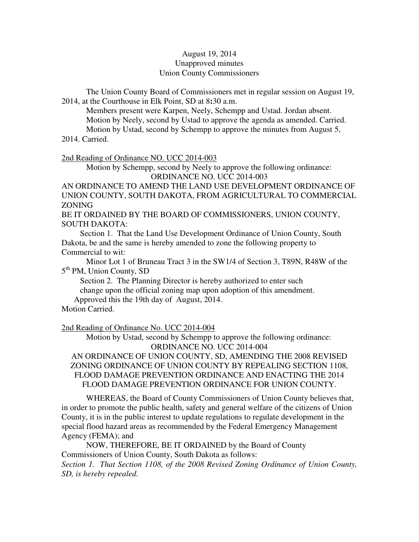### August 19, 2014 Unapproved minutes Union County Commissioners

The Union County Board of Commissioners met in regular session on August 19, 2014, at the Courthouse in Elk Point, SD at 8**:**30 a.m.

 Members present were Karpen, Neely, Schempp and Ustad. Jordan absent. Motion by Neely, second by Ustad to approve the agenda as amended. Carried. Motion by Ustad, second by Schempp to approve the minutes from August 5,

2014. Carried.

#### 2nd Reading of Ordinance NO. UCC 2014-003

 Motion by Schempp, second by Neely to approve the following ordinance: ORDINANCE NO. UCC 2014-003

AN ORDINANCE TO AMEND THE LAND USE DEVELOPMENT ORDINANCE OF UNION COUNTY, SOUTH DAKOTA, FROM AGRICULTURAL TO COMMERCIAL ZONING

BE IT ORDAINED BY THE BOARD OF COMMISSIONERS, UNION COUNTY, SOUTH DAKOTA:

 Section 1. That the Land Use Development Ordinance of Union County, South Dakota, be and the same is hereby amended to zone the following property to Commercial to wit:

 Minor Lot 1 of Bruneau Tract 3 in the SW1/4 of Section 3, T89N, R48W of the 5<sup>th</sup> PM, Union County, SD

 Section 2. The Planning Director is hereby authorized to enter such change upon the official zoning map upon adoption of this amendment. Approved this the 19th day of August, 2014.

Motion Carried.

2nd Reading of Ordinance No. UCC 2014-004

 Motion by Ustad, second by Schempp to approve the following ordinance: ORDINANCE NO. UCC 2014-004

AN ORDINANCE OF UNION COUNTY, SD, AMENDING THE 2008 REVISED ZONING ORDINANCE OF UNION COUNTY BY REPEALING SECTION 1108, FLOOD DAMAGE PREVENTION ORDINANCE AND ENACTING THE 2014 FLOOD DAMAGE PREVENTION ORDINANCE FOR UNION COUNTY.

WHEREAS, the Board of County Commissioners of Union County believes that, in order to promote the public health, safety and general welfare of the citizens of Union County, it is in the public interest to update regulations to regulate development in the special flood hazard areas as recommended by the Federal Emergency Management Agency (FEMA); and

NOW, THEREFORE, BE IT ORDAINED by the Board of County Commissioners of Union County, South Dakota as follows:

*Section 1. That Section 1108, of the 2008 Revised Zoning Ordinance of Union County, SD, is hereby repealed.*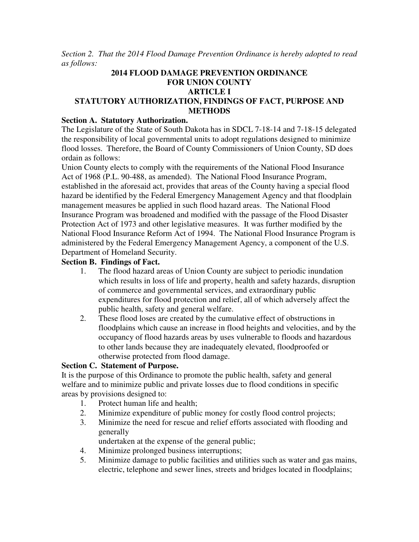*Section 2. That the 2014 Flood Damage Prevention Ordinance is hereby adopted to read as follows:* 

### **2014 FLOOD DAMAGE PREVENTION ORDINANCE FOR UNION COUNTY ARTICLE I STATUTORY AUTHORIZATION, FINDINGS OF FACT, PURPOSE AND METHODS**

### **Section A. Statutory Authorization.**

The Legislature of the State of South Dakota has in SDCL 7-18-14 and 7-18-15 delegated the responsibility of local governmental units to adopt regulations designed to minimize flood losses. Therefore, the Board of County Commissioners of Union County, SD does ordain as follows:

Union County elects to comply with the requirements of the National Flood Insurance Act of 1968 (P.L. 90-488, as amended). The National Flood Insurance Program, established in the aforesaid act, provides that areas of the County having a special flood hazard be identified by the Federal Emergency Management Agency and that floodplain management measures be applied in such flood hazard areas. The National Flood Insurance Program was broadened and modified with the passage of the Flood Disaster Protection Act of 1973 and other legislative measures. It was further modified by the National Flood Insurance Reform Act of 1994. The National Flood Insurance Program is administered by the Federal Emergency Management Agency, a component of the U.S. Department of Homeland Security.

### **Section B. Findings of Fact.**

- 1. The flood hazard areas of Union County are subject to periodic inundation which results in loss of life and property, health and safety hazards, disruption of commerce and governmental services, and extraordinary public expenditures for flood protection and relief, all of which adversely affect the public health, safety and general welfare.
- 2. These flood loses are created by the cumulative effect of obstructions in floodplains which cause an increase in flood heights and velocities, and by the occupancy of flood hazards areas by uses vulnerable to floods and hazardous to other lands because they are inadequately elevated, floodproofed or otherwise protected from flood damage.

### **Section C. Statement of Purpose.**

It is the purpose of this Ordinance to promote the public health, safety and general welfare and to minimize public and private losses due to flood conditions in specific areas by provisions designed to:

- 1. Protect human life and health;
- 2. Minimize expenditure of public money for costly flood control projects;
- 3. Minimize the need for rescue and relief efforts associated with flooding and generally
	- undertaken at the expense of the general public;
- 4. Minimize prolonged business interruptions;
- 5. Minimize damage to public facilities and utilities such as water and gas mains, electric, telephone and sewer lines, streets and bridges located in floodplains;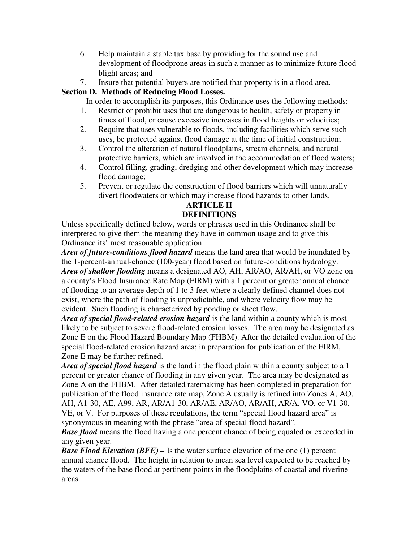- 6. Help maintain a stable tax base by providing for the sound use and development of floodprone areas in such a manner as to minimize future flood blight areas; and
- 7. Insure that potential buyers are notified that property is in a flood area.

# **Section D. Methods of Reducing Flood Losses.**

In order to accomplish its purposes, this Ordinance uses the following methods:

- 1. Restrict or prohibit uses that are dangerous to health, safety or property in times of flood, or cause excessive increases in flood heights or velocities;
- 2. Require that uses vulnerable to floods, including facilities which serve such uses, be protected against flood damage at the time of initial construction;
- 3. Control the alteration of natural floodplains, stream channels, and natural protective barriers, which are involved in the accommodation of flood waters;
- 4. Control filling, grading, dredging and other development which may increase flood damage;
- 5. Prevent or regulate the construction of flood barriers which will unnaturally divert floodwaters or which may increase flood hazards to other lands.

# **ARTICLE II DEFINITIONS**

Unless specifically defined below, words or phrases used in this Ordinance shall be interpreted to give them the meaning they have in common usage and to give this Ordinance its' most reasonable application.

*Area of future-conditions flood hazard* means the land area that would be inundated by the 1-percent-annual-chance (100-year) flood based on future-conditions hydrology. *Area of shallow flooding* means a designated AO, AH, AR/AO, AR/AH, or VO zone on a county's Flood Insurance Rate Map (FIRM) with a 1 percent or greater annual chance of flooding to an average depth of 1 to 3 feet where a clearly defined channel does not exist, where the path of flooding is unpredictable, and where velocity flow may be evident. Such flooding is characterized by ponding or sheet flow.

*Area of special flood-related erosion hazard* is the land within a county which is most likely to be subject to severe flood-related erosion losses. The area may be designated as Zone E on the Flood Hazard Boundary Map (FHBM). After the detailed evaluation of the special flood-related erosion hazard area; in preparation for publication of the FIRM, Zone E may be further refined.

*Area of special flood hazard* is the land in the flood plain within a county subject to a 1 percent or greater chance of flooding in any given year. The area may be designated as Zone A on the FHBM. After detailed ratemaking has been completed in preparation for publication of the flood insurance rate map, Zone A usually is refined into Zones A, AO, AH, A1-30, AE, A99, AR, AR/A1-30, AR/AE, AR/AO, AR/AH, AR/A, VO, or V1-30, VE, or V. For purposes of these regulations, the term "special flood hazard area" is synonymous in meaning with the phrase "area of special flood hazard".

*Base flood* means the flood having a one percent chance of being equaled or exceeded in any given year.

*Base Flood Elevation (BFE) –* Is the water surface elevation of the one (1) percent annual chance flood. The height in relation to mean sea level expected to be reached by the waters of the base flood at pertinent points in the floodplains of coastal and riverine areas.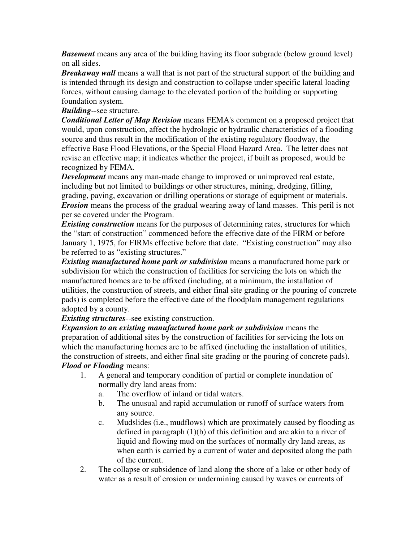*Basement* means any area of the building having its floor subgrade (below ground level) on all sides.

*Breakaway wall* means a wall that is not part of the structural support of the building and is intended through its design and construction to collapse under specific lateral loading forces, without causing damage to the elevated portion of the building or supporting foundation system.

### *Building*--see structure.

*Conditional Letter of Map Revision* means FEMA's comment on a proposed project that would, upon construction, affect the hydrologic or hydraulic characteristics of a flooding source and thus result in the modification of the existing regulatory floodway, the effective Base Flood Elevations, or the Special Flood Hazard Area. The letter does not revise an effective map; it indicates whether the project, if built as proposed, would be recognized by FEMA.

*Development* means any man-made change to improved or unimproved real estate, including but not limited to buildings or other structures, mining, dredging, filling, grading, paving, excavation or drilling operations or storage of equipment or materials. *Erosion* means the process of the gradual wearing away of land masses. This peril is not per se covered under the Program.

*Existing construction* means for the purposes of determining rates, structures for which the "start of construction" commenced before the effective date of the FIRM or before January 1, 1975, for FIRMs effective before that date. "Existing construction" may also be referred to as "existing structures."

*Existing manufactured home park or subdivision* means a manufactured home park or subdivision for which the construction of facilities for servicing the lots on which the manufactured homes are to be affixed (including, at a minimum, the installation of utilities, the construction of streets, and either final site grading or the pouring of concrete pads) is completed before the effective date of the floodplain management regulations adopted by a county.

# *Existing structures*--see existing construction.

*Expansion to an existing manufactured home park or subdivision* means the preparation of additional sites by the construction of facilities for servicing the lots on which the manufacturing homes are to be affixed (including the installation of utilities, the construction of streets, and either final site grading or the pouring of concrete pads). *Flood or Flooding* means:

- 1. A general and temporary condition of partial or complete inundation of normally dry land areas from:
	- a. The overflow of inland or tidal waters.
	- b. The unusual and rapid accumulation or runoff of surface waters from any source.
	- c. Mudslides (i.e., mudflows) which are proximately caused by flooding as defined in paragraph (1)(b) of this definition and are akin to a river of liquid and flowing mud on the surfaces of normally dry land areas, as when earth is carried by a current of water and deposited along the path of the current.
- 2. The collapse or subsidence of land along the shore of a lake or other body of water as a result of erosion or undermining caused by waves or currents of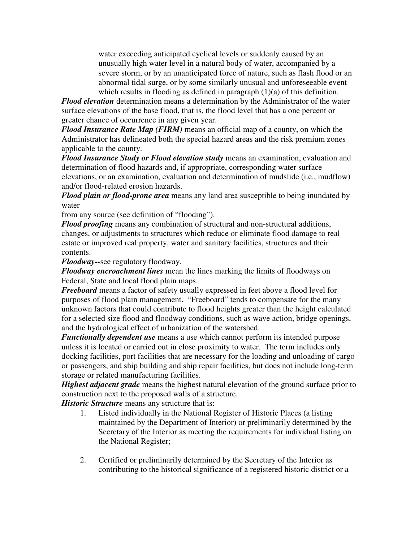water exceeding anticipated cyclical levels or suddenly caused by an unusually high water level in a natural body of water, accompanied by a severe storm, or by an unanticipated force of nature, such as flash flood or an abnormal tidal surge, or by some similarly unusual and unforeseeable event which results in flooding as defined in paragraph (1)(a) of this definition.

*Flood elevation* determination means a determination by the Administrator of the water surface elevations of the base flood, that is, the flood level that has a one percent or greater chance of occurrence in any given year.

*Flood Insurance Rate Map (FIRM)* means an official map of a county, on which the Administrator has delineated both the special hazard areas and the risk premium zones applicable to the county.

*Flood Insurance Study or Flood elevation study* means an examination, evaluation and determination of flood hazards and, if appropriate, corresponding water surface elevations, or an examination, evaluation and determination of mudslide (i.e., mudflow) and/or flood-related erosion hazards.

*Flood plain or flood-prone area* means any land area susceptible to being inundated by water

from any source (see definition of "flooding").

*Flood proofing* means any combination of structural and non-structural additions, changes, or adjustments to structures which reduce or eliminate flood damage to real estate or improved real property, water and sanitary facilities, structures and their contents.

*Floodway--*see regulatory floodway.

*Floodway encroachment lines* mean the lines marking the limits of floodways on Federal, State and local flood plain maps.

*Freeboard* means a factor of safety usually expressed in feet above a flood level for purposes of flood plain management. "Freeboard" tends to compensate for the many unknown factors that could contribute to flood heights greater than the height calculated for a selected size flood and floodway conditions, such as wave action, bridge openings, and the hydrological effect of urbanization of the watershed.

*Functionally dependent use* means a use which cannot perform its intended purpose unless it is located or carried out in close proximity to water. The term includes only docking facilities, port facilities that are necessary for the loading and unloading of cargo or passengers, and ship building and ship repair facilities, but does not include long-term storage or related manufacturing facilities.

*Highest adjacent grade* means the highest natural elevation of the ground surface prior to construction next to the proposed walls of a structure.

*Historic Structure* means any structure that is:

- 1. Listed individually in the National Register of Historic Places (a listing maintained by the Department of Interior) or preliminarily determined by the Secretary of the Interior as meeting the requirements for individual listing on the National Register;
- 2. Certified or preliminarily determined by the Secretary of the Interior as contributing to the historical significance of a registered historic district or a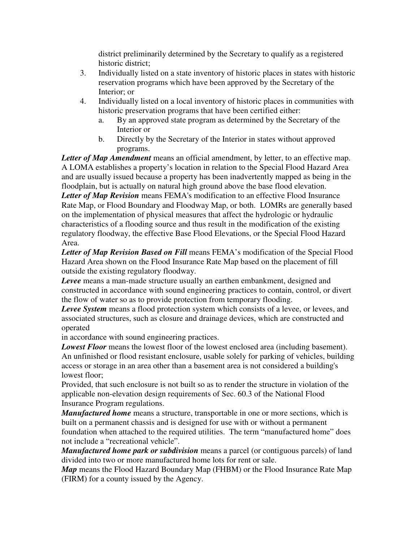district preliminarily determined by the Secretary to qualify as a registered historic district;

- 3. Individually listed on a state inventory of historic places in states with historic reservation programs which have been approved by the Secretary of the Interior; or
- 4. Individually listed on a local inventory of historic places in communities with historic preservation programs that have been certified either:
	- a. By an approved state program as determined by the Secretary of the Interior or
	- b. Directly by the Secretary of the Interior in states without approved programs.

Letter of Map Amendment means an official amendment, by letter, to an effective map. A LOMA establishes a property's location in relation to the Special Flood Hazard Area and are usually issued because a property has been inadvertently mapped as being in the floodplain, but is actually on natural high ground above the base flood elevation. *Letter of Map Revision* means FEMA's modification to an effective Flood Insurance Rate Map, or Flood Boundary and Floodway Map, or both. LOMRs are generally based on the implementation of physical measures that affect the hydrologic or hydraulic characteristics of a flooding source and thus result in the modification of the existing regulatory floodway, the effective Base Flood Elevations, or the Special Flood Hazard Area.

*Letter of Map Revision Based on Fill* means FEMA's modification of the Special Flood Hazard Area shown on the Flood Insurance Rate Map based on the placement of fill outside the existing regulatory floodway.

*Levee* means a man-made structure usually an earthen embankment, designed and constructed in accordance with sound engineering practices to contain, control, or divert the flow of water so as to provide protection from temporary flooding.

*Levee System* means a flood protection system which consists of a levee, or levees, and associated structures, such as closure and drainage devices, which are constructed and operated

in accordance with sound engineering practices.

*Lowest Floor* means the lowest floor of the lowest enclosed area (including basement). An unfinished or flood resistant enclosure, usable solely for parking of vehicles, building access or storage in an area other than a basement area is not considered a building's lowest floor;

Provided, that such enclosure is not built so as to render the structure in violation of the applicable non-elevation design requirements of Sec. 60.3 of the National Flood Insurance Program regulations.

*Manufactured home* means a structure, transportable in one or more sections, which is built on a permanent chassis and is designed for use with or without a permanent foundation when attached to the required utilities. The term "manufactured home" does not include a "recreational vehicle".

*Manufactured home park or subdivision* means a parcel (or contiguous parcels) of land divided into two or more manufactured home lots for rent or sale.

*Map* means the Flood Hazard Boundary Map (FHBM) or the Flood Insurance Rate Map (FIRM) for a county issued by the Agency.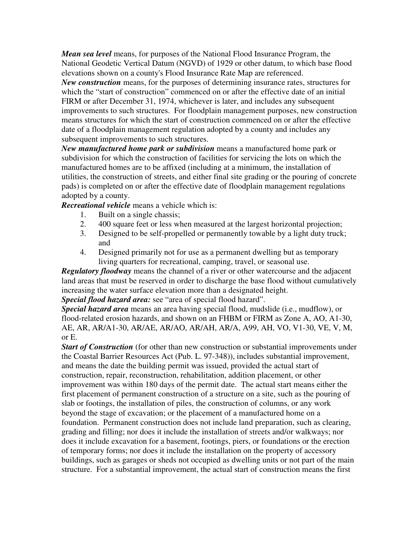*Mean sea level* means, for purposes of the National Flood Insurance Program, the National Geodetic Vertical Datum (NGVD) of 1929 or other datum, to which base flood elevations shown on a county's Flood Insurance Rate Map are referenced.

*New construction* means, for the purposes of determining insurance rates, structures for which the "start of construction" commenced on or after the effective date of an initial FIRM or after December 31, 1974, whichever is later, and includes any subsequent improvements to such structures. For floodplain management purposes, new construction means structures for which the start of construction commenced on or after the effective date of a floodplain management regulation adopted by a county and includes any subsequent improvements to such structures.

*New manufactured home park or subdivision* means a manufactured home park or subdivision for which the construction of facilities for servicing the lots on which the manufactured homes are to be affixed (including at a minimum, the installation of utilities, the construction of streets, and either final site grading or the pouring of concrete pads) is completed on or after the effective date of floodplain management regulations adopted by a county.

*Recreational vehicle* means a vehicle which is:

- 1. Built on a single chassis;
- 2. 400 square feet or less when measured at the largest horizontal projection;
- 3. Designed to be self-propelled or permanently towable by a light duty truck; and
- 4. Designed primarily not for use as a permanent dwelling but as temporary living quarters for recreational, camping, travel, or seasonal use.

*Regulatory floodway* means the channel of a river or other watercourse and the adjacent land areas that must be reserved in order to discharge the base flood without cumulatively increasing the water surface elevation more than a designated height.

*Special flood hazard area:* see "area of special flood hazard".

*Special hazard area* means an area having special flood, mudslide (i.e., mudflow), or flood-related erosion hazards, and shown on an FHBM or FIRM as Zone A, AO, A1-30, AE, AR, AR/A1-30, AR/AE, AR/AO, AR/AH, AR/A, A99, AH, VO, V1-30, VE, V, M, or E.

*Start of Construction* (for other than new construction or substantial improvements under the Coastal Barrier Resources Act (Pub. L. 97-348)), includes substantial improvement, and means the date the building permit was issued, provided the actual start of construction, repair, reconstruction, rehabilitation, addition placement, or other improvement was within 180 days of the permit date. The actual start means either the first placement of permanent construction of a structure on a site, such as the pouring of slab or footings, the installation of piles, the construction of columns, or any work beyond the stage of excavation; or the placement of a manufactured home on a foundation. Permanent construction does not include land preparation, such as clearing, grading and filling; nor does it include the installation of streets and/or walkways; nor does it include excavation for a basement, footings, piers, or foundations or the erection of temporary forms; nor does it include the installation on the property of accessory buildings, such as garages or sheds not occupied as dwelling units or not part of the main structure. For a substantial improvement, the actual start of construction means the first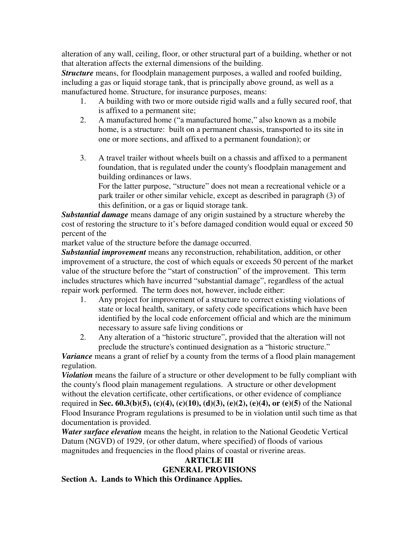alteration of any wall, ceiling, floor, or other structural part of a building, whether or not that alteration affects the external dimensions of the building.

*Structure* means, for floodplain management purposes, a walled and roofed building, including a gas or liquid storage tank, that is principally above ground, as well as a manufactured home. Structure, for insurance purposes, means:

- 1. A building with two or more outside rigid walls and a fully secured roof, that is affixed to a permanent site;
- 2. A manufactured home ("a manufactured home," also known as a mobile home, is a structure: built on a permanent chassis, transported to its site in one or more sections, and affixed to a permanent foundation); or
- 3. A travel trailer without wheels built on a chassis and affixed to a permanent foundation, that is regulated under the county's floodplain management and building ordinances or laws.

 For the latter purpose, "structure" does not mean a recreational vehicle or a park trailer or other similar vehicle, except as described in paragraph (3) of this definition, or a gas or liquid storage tank.

*Substantial damage* means damage of any origin sustained by a structure whereby the cost of restoring the structure to it's before damaged condition would equal or exceed 50 percent of the

market value of the structure before the damage occurred.

*Substantial improvement* means any reconstruction, rehabilitation, addition, or other improvement of a structure, the cost of which equals or exceeds 50 percent of the market value of the structure before the "start of construction" of the improvement. This term includes structures which have incurred "substantial damage", regardless of the actual repair work performed. The term does not, however, include either:

- 1. Any project for improvement of a structure to correct existing violations of state or local health, sanitary, or safety code specifications which have been identified by the local code enforcement official and which are the minimum necessary to assure safe living conditions or
- 2. Any alteration of a "historic structure", provided that the alteration will not preclude the structure's continued designation as a "historic structure."

*Variance* means a grant of relief by a county from the terms of a flood plain management regulation.

*Violation* means the failure of a structure or other development to be fully compliant with the county's flood plain management regulations. A structure or other development without the elevation certificate, other certifications, or other evidence of compliance required in **Sec. 60.3(b)(5), (c)(4), (c)(10), (d)(3), (e)(2), (e)(4), or (e)(5)** of the National Flood Insurance Program regulations is presumed to be in violation until such time as that documentation is provided.

*Water surface elevation* means the height, in relation to the National Geodetic Vertical Datum (NGVD) of 1929, (or other datum, where specified) of floods of various magnitudes and frequencies in the flood plains of coastal or riverine areas.

# **ARTICLE III GENERAL PROVISIONS**

**Section A. Lands to Which this Ordinance Applies.**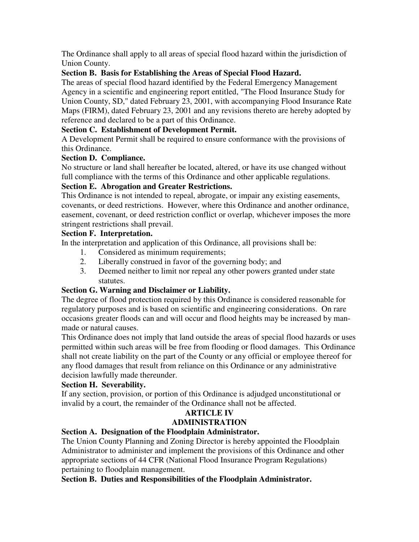The Ordinance shall apply to all areas of special flood hazard within the jurisdiction of Union County.

# **Section B. Basis for Establishing the Areas of Special Flood Hazard.**

The areas of special flood hazard identified by the Federal Emergency Management Agency in a scientific and engineering report entitled, "The Flood Insurance Study for Union County, SD," dated February 23, 2001, with accompanying Flood Insurance Rate Maps (FIRM), dated February 23, 2001 and any revisions thereto are hereby adopted by reference and declared to be a part of this Ordinance.

# **Section C. Establishment of Development Permit.**

A Development Permit shall be required to ensure conformance with the provisions of this Ordinance.

# **Section D. Compliance.**

No structure or land shall hereafter be located, altered, or have its use changed without full compliance with the terms of this Ordinance and other applicable regulations.

# **Section E. Abrogation and Greater Restrictions.**

This Ordinance is not intended to repeal, abrogate, or impair any existing easements, covenants, or deed restrictions. However, where this Ordinance and another ordinance, easement, covenant, or deed restriction conflict or overlap, whichever imposes the more stringent restrictions shall prevail.

# **Section F. Interpretation.**

In the interpretation and application of this Ordinance, all provisions shall be:

- 1. Considered as minimum requirements;
- 2. Liberally construed in favor of the governing body; and
- 3. Deemed neither to limit nor repeal any other powers granted under state statutes.

# **Section G. Warning and Disclaimer or Liability.**

The degree of flood protection required by this Ordinance is considered reasonable for regulatory purposes and is based on scientific and engineering considerations. On rare occasions greater floods can and will occur and flood heights may be increased by manmade or natural causes.

This Ordinance does not imply that land outside the areas of special flood hazards or uses permitted within such areas will be free from flooding or flood damages. This Ordinance shall not create liability on the part of the County or any official or employee thereof for any flood damages that result from reliance on this Ordinance or any administrative decision lawfully made thereunder.

# **Section H. Severability.**

If any section, provision, or portion of this Ordinance is adjudged unconstitutional or invalid by a court, the remainder of the Ordinance shall not be affected.

# **ARTICLE IV ADMINISTRATION**

# **Section A. Designation of the Floodplain Administrator.**

The Union County Planning and Zoning Director is hereby appointed the Floodplain Administrator to administer and implement the provisions of this Ordinance and other appropriate sections of 44 CFR (National Flood Insurance Program Regulations) pertaining to floodplain management.

# **Section B. Duties and Responsibilities of the Floodplain Administrator.**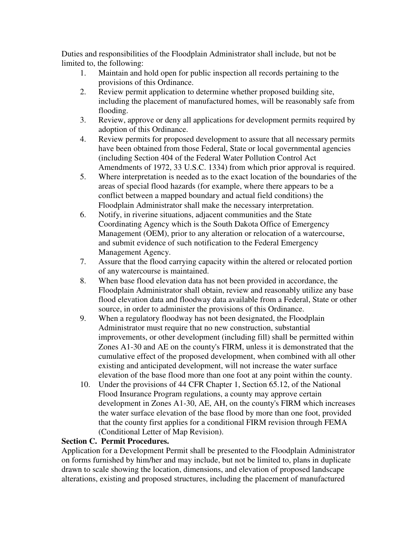Duties and responsibilities of the Floodplain Administrator shall include, but not be limited to, the following:

- 1. Maintain and hold open for public inspection all records pertaining to the provisions of this Ordinance.
- 2. Review permit application to determine whether proposed building site, including the placement of manufactured homes, will be reasonably safe from flooding.
- 3. Review, approve or deny all applications for development permits required by adoption of this Ordinance.
- 4. Review permits for proposed development to assure that all necessary permits have been obtained from those Federal, State or local governmental agencies (including Section 404 of the Federal Water Pollution Control Act Amendments of 1972, 33 U.S.C. 1334) from which prior approval is required.
- 5. Where interpretation is needed as to the exact location of the boundaries of the areas of special flood hazards (for example, where there appears to be a conflict between a mapped boundary and actual field conditions) the Floodplain Administrator shall make the necessary interpretation.
- 6. Notify, in riverine situations, adjacent communities and the State Coordinating Agency which is the South Dakota Office of Emergency Management (OEM), prior to any alteration or relocation of a watercourse, and submit evidence of such notification to the Federal Emergency Management Agency.
- 7. Assure that the flood carrying capacity within the altered or relocated portion of any watercourse is maintained.
- 8. When base flood elevation data has not been provided in accordance, the Floodplain Administrator shall obtain, review and reasonably utilize any base flood elevation data and floodway data available from a Federal, State or other source, in order to administer the provisions of this Ordinance.
- 9. When a regulatory floodway has not been designated, the Floodplain Administrator must require that no new construction, substantial improvements, or other development (including fill) shall be permitted within Zones A1-30 and AE on the county's FIRM, unless it is demonstrated that the cumulative effect of the proposed development, when combined with all other existing and anticipated development, will not increase the water surface elevation of the base flood more than one foot at any point within the county.
- 10. Under the provisions of 44 CFR Chapter 1, Section 65.12, of the National Flood Insurance Program regulations, a county may approve certain development in Zones A1-30, AE, AH, on the county's FIRM which increases the water surface elevation of the base flood by more than one foot, provided that the county first applies for a conditional FIRM revision through FEMA (Conditional Letter of Map Revision).

# **Section C. Permit Procedures.**

Application for a Development Permit shall be presented to the Floodplain Administrator on forms furnished by him/her and may include, but not be limited to, plans in duplicate drawn to scale showing the location, dimensions, and elevation of proposed landscape alterations, existing and proposed structures, including the placement of manufactured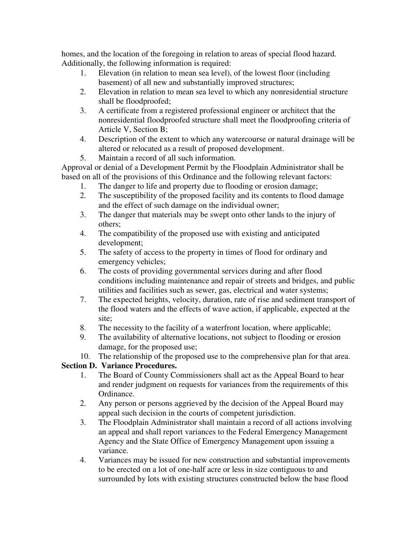homes, and the location of the foregoing in relation to areas of special flood hazard. Additionally, the following information is required:

- 1. Elevation (in relation to mean sea level), of the lowest floor (including basement) of all new and substantially improved structures;
- 2. Elevation in relation to mean sea level to which any nonresidential structure shall be floodproofed;
- 3. A certificate from a registered professional engineer or architect that the nonresidential floodproofed structure shall meet the floodproofing criteria of Article V, Section B;
- 4. Description of the extent to which any watercourse or natural drainage will be altered or relocated as a result of proposed development.
- 5. Maintain a record of all such information.

Approval or denial of a Development Permit by the Floodplain Administrator shall be based on all of the provisions of this Ordinance and the following relevant factors:

- 1. The danger to life and property due to flooding or erosion damage;
- 2. The susceptibility of the proposed facility and its contents to flood damage and the effect of such damage on the individual owner;
- 3. The danger that materials may be swept onto other lands to the injury of others;
- 4. The compatibility of the proposed use with existing and anticipated development;
- 5. The safety of access to the property in times of flood for ordinary and emergency vehicles;
- 6. The costs of providing governmental services during and after flood conditions including maintenance and repair of streets and bridges, and public utilities and facilities such as sewer, gas, electrical and water systems;
- 7. The expected heights, velocity, duration, rate of rise and sediment transport of the flood waters and the effects of wave action, if applicable, expected at the site;
- 8. The necessity to the facility of a waterfront location, where applicable;
- 9. The availability of alternative locations, not subject to flooding or erosion damage, for the proposed use;
- 10. The relationship of the proposed use to the comprehensive plan for that area.

# **Section D. Variance Procedures.**

- 1. The Board of County Commissioners shall act as the Appeal Board to hear and render judgment on requests for variances from the requirements of this Ordinance.
- 2. Any person or persons aggrieved by the decision of the Appeal Board may appeal such decision in the courts of competent jurisdiction.
- 3. The Floodplain Administrator shall maintain a record of all actions involving an appeal and shall report variances to the Federal Emergency Management Agency and the State Office of Emergency Management upon issuing a variance.
- 4. Variances may be issued for new construction and substantial improvements to be erected on a lot of one-half acre or less in size contiguous to and surrounded by lots with existing structures constructed below the base flood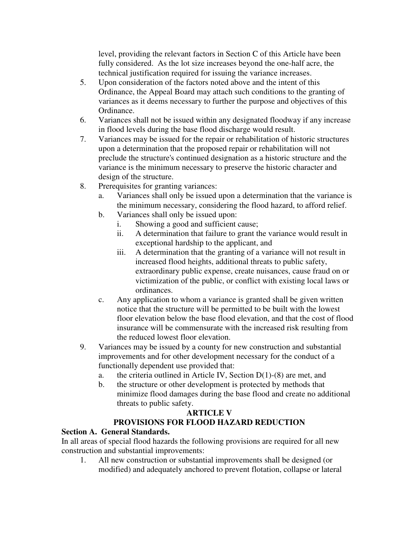level, providing the relevant factors in Section C of this Article have been fully considered. As the lot size increases beyond the one-half acre, the technical justification required for issuing the variance increases.

- 5. Upon consideration of the factors noted above and the intent of this Ordinance, the Appeal Board may attach such conditions to the granting of variances as it deems necessary to further the purpose and objectives of this Ordinance.
- 6. Variances shall not be issued within any designated floodway if any increase in flood levels during the base flood discharge would result.
- 7. Variances may be issued for the repair or rehabilitation of historic structures upon a determination that the proposed repair or rehabilitation will not preclude the structure's continued designation as a historic structure and the variance is the minimum necessary to preserve the historic character and design of the structure.
- 8. Prerequisites for granting variances:
	- a. Variances shall only be issued upon a determination that the variance is the minimum necessary, considering the flood hazard, to afford relief.
	- b. Variances shall only be issued upon:
		- i. Showing a good and sufficient cause;
		- ii. A determination that failure to grant the variance would result in exceptional hardship to the applicant, and
		- iii. A determination that the granting of a variance will not result in increased flood heights, additional threats to public safety, extraordinary public expense, create nuisances, cause fraud on or victimization of the public, or conflict with existing local laws or ordinances.
	- c. Any application to whom a variance is granted shall be given written notice that the structure will be permitted to be built with the lowest floor elevation below the base flood elevation, and that the cost of flood insurance will be commensurate with the increased risk resulting from the reduced lowest floor elevation.
- 9. Variances may be issued by a county for new construction and substantial improvements and for other development necessary for the conduct of a functionally dependent use provided that:
	- a. the criteria outlined in Article IV, Section D(1)-(8) are met, and
	- b. the structure or other development is protected by methods that minimize flood damages during the base flood and create no additional threats to public safety.

# **ARTICLE V**

# **PROVISIONS FOR FLOOD HAZARD REDUCTION**

# **Section A. General Standards.**

In all areas of special flood hazards the following provisions are required for all new construction and substantial improvements:

1. All new construction or substantial improvements shall be designed (or modified) and adequately anchored to prevent flotation, collapse or lateral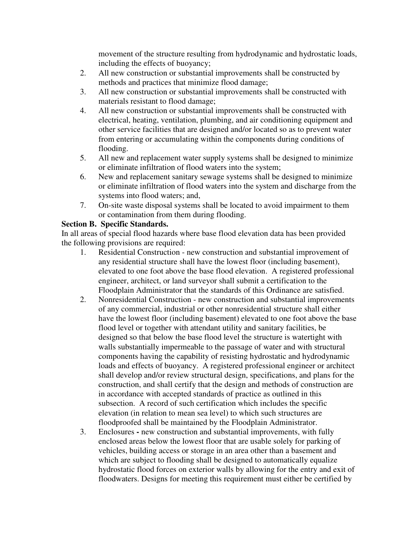movement of the structure resulting from hydrodynamic and hydrostatic loads, including the effects of buoyancy;

- 2. All new construction or substantial improvements shall be constructed by methods and practices that minimize flood damage;
- 3. All new construction or substantial improvements shall be constructed with materials resistant to flood damage;
- 4. All new construction or substantial improvements shall be constructed with electrical, heating, ventilation, plumbing, and air conditioning equipment and other service facilities that are designed and/or located so as to prevent water from entering or accumulating within the components during conditions of flooding.
- 5. All new and replacement water supply systems shall be designed to minimize or eliminate infiltration of flood waters into the system;
- 6. New and replacement sanitary sewage systems shall be designed to minimize or eliminate infiltration of flood waters into the system and discharge from the systems into flood waters; and,
- 7. On-site waste disposal systems shall be located to avoid impairment to them or contamination from them during flooding.

# **Section B. Specific Standards.**

In all areas of special flood hazards where base flood elevation data has been provided the following provisions are required:

- 1. Residential Construction new construction and substantial improvement of any residential structure shall have the lowest floor (including basement), elevated to one foot above the base flood elevation. A registered professional engineer, architect, or land surveyor shall submit a certification to the Floodplain Administrator that the standards of this Ordinance are satisfied.
- 2. Nonresidential Construction new construction and substantial improvements of any commercial, industrial or other nonresidential structure shall either have the lowest floor (including basement) elevated to one foot above the base flood level or together with attendant utility and sanitary facilities, be designed so that below the base flood level the structure is watertight with walls substantially impermeable to the passage of water and with structural components having the capability of resisting hydrostatic and hydrodynamic loads and effects of buoyancy. A registered professional engineer or architect shall develop and/or review structural design, specifications, and plans for the construction, and shall certify that the design and methods of construction are in accordance with accepted standards of practice as outlined in this subsection. A record of such certification which includes the specific elevation (in relation to mean sea level) to which such structures are floodproofed shall be maintained by the Floodplain Administrator.
- 3. Enclosuresnew construction and substantial improvements, with fully enclosed areas below the lowest floor that are usable solely for parking of vehicles, building access or storage in an area other than a basement and which are subject to flooding shall be designed to automatically equalize hydrostatic flood forces on exterior walls by allowing for the entry and exit of floodwaters. Designs for meeting this requirement must either be certified by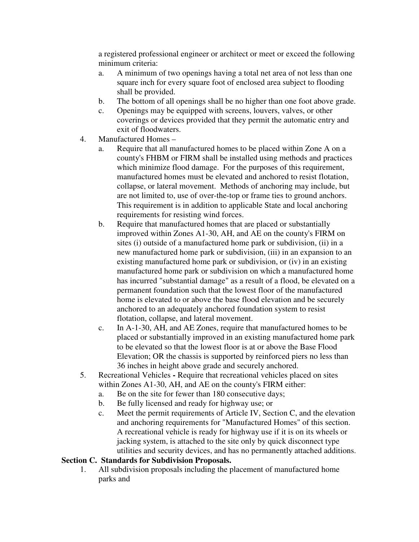a registered professional engineer or architect or meet or exceed the following minimum criteria:

- a. A minimum of two openings having a total net area of not less than one square inch for every square foot of enclosed area subject to flooding shall be provided.
- b. The bottom of all openings shall be no higher than one foot above grade.
- c. Openings may be equipped with screens, louvers, valves, or other coverings or devices provided that they permit the automatic entry and exit of floodwaters.
- 4. Manufactured Homes
	- a. Require that all manufactured homes to be placed within Zone A on a county's FHBM or FIRM shall be installed using methods and practices which minimize flood damage. For the purposes of this requirement, manufactured homes must be elevated and anchored to resist flotation, collapse, or lateral movement. Methods of anchoring may include, but are not limited to, use of over-the-top or frame ties to ground anchors. This requirement is in addition to applicable State and local anchoring requirements for resisting wind forces.
	- b. Require that manufactured homes that are placed or substantially improved within Zones A1-30, AH, and AE on the county's FIRM on sites (i) outside of a manufactured home park or subdivision, (ii) in a new manufactured home park or subdivision, (iii) in an expansion to an existing manufactured home park or subdivision, or (iv) in an existing manufactured home park or subdivision on which a manufactured home has incurred "substantial damage" as a result of a flood, be elevated on a permanent foundation such that the lowest floor of the manufactured home is elevated to or above the base flood elevation and be securely anchored to an adequately anchored foundation system to resist flotation, collapse, and lateral movement.
	- c. In A-1-30, AH, and AE Zones, require that manufactured homes to be placed or substantially improved in an existing manufactured home park to be elevated so that the lowest floor is at or above the Base Flood Elevation; OR the chassis is supported by reinforced piers no less than 36 inches in height above grade and securely anchored.
- 5. Recreational VehiclesRequire that recreational vehicles placed on sites within Zones A1-30, AH, and AE on the county's FIRM either:
	- a. Be on the site for fewer than 180 consecutive days;
	- b. Be fully licensed and ready for highway use; or
	- c. Meet the permit requirements of Article IV, Section C, and the elevation and anchoring requirements for "Manufactured Homes" of this section. A recreational vehicle is ready for highway use if it is on its wheels or jacking system, is attached to the site only by quick disconnect type utilities and security devices, and has no permanently attached additions.

# **Section C. Standards for Subdivision Proposals.**

1. All subdivision proposals including the placement of manufactured home parks and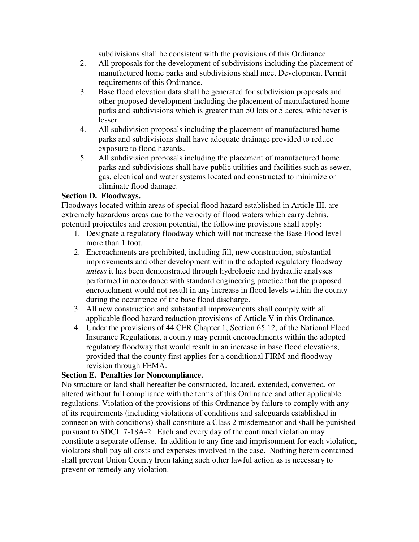subdivisions shall be consistent with the provisions of this Ordinance.

- 2. All proposals for the development of subdivisions including the placement of manufactured home parks and subdivisions shall meet Development Permit requirements of this Ordinance.
- 3. Base flood elevation data shall be generated for subdivision proposals and other proposed development including the placement of manufactured home parks and subdivisions which is greater than 50 lots or 5 acres, whichever is lesser.
- 4. All subdivision proposals including the placement of manufactured home parks and subdivisions shall have adequate drainage provided to reduce exposure to flood hazards.
- 5. All subdivision proposals including the placement of manufactured home parks and subdivisions shall have public utilities and facilities such as sewer, gas, electrical and water systems located and constructed to minimize or eliminate flood damage.

### **Section D. Floodways.**

Floodways located within areas of special flood hazard established in Article III, are extremely hazardous areas due to the velocity of flood waters which carry debris, potential projectiles and erosion potential, the following provisions shall apply:

- 1. Designate a regulatory floodway which will not increase the Base Flood level more than 1 foot.
- 2. Encroachments are prohibited, including fill, new construction, substantial improvements and other development within the adopted regulatory floodway *unless* it has been demonstrated through hydrologic and hydraulic analyses performed in accordance with standard engineering practice that the proposed encroachment would not result in any increase in flood levels within the county during the occurrence of the base flood discharge.
- 3. All new construction and substantial improvements shall comply with all applicable flood hazard reduction provisions of Article V in this Ordinance.
- 4. Under the provisions of 44 CFR Chapter 1, Section 65.12, of the National Flood Insurance Regulations, a county may permit encroachments within the adopted regulatory floodway that would result in an increase in base flood elevations, provided that the county first applies for a conditional FIRM and floodway revision through FEMA.

# **Section E. Penalties for Noncompliance.**

No structure or land shall hereafter be constructed, located, extended, converted, or altered without full compliance with the terms of this Ordinance and other applicable regulations. Violation of the provisions of this Ordinance by failure to comply with any of its requirements (including violations of conditions and safeguards established in connection with conditions) shall constitute a Class 2 misdemeanor and shall be punished pursuant to SDCL 7-18A-2. Each and every day of the continued violation may constitute a separate offense. In addition to any fine and imprisonment for each violation, violators shall pay all costs and expenses involved in the case. Nothing herein contained shall prevent Union County from taking such other lawful action as is necessary to prevent or remedy any violation.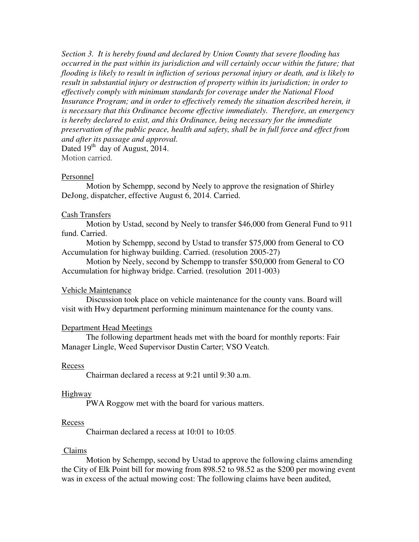*Section 3. It is hereby found and declared by Union County that severe flooding has occurred in the past within its jurisdiction and will certainly occur within the future; that flooding is likely to result in infliction of serious personal injury or death, and is likely to result in substantial injury or destruction of property within its jurisdiction; in order to effectively comply with minimum standards for coverage under the National Flood*  Insurance Program; and in order to effectively remedy the situation described herein, it *is necessary that this Ordinance become effective immediately. Therefore, an emergency is hereby declared to exist, and this Ordinance, being necessary for the immediate preservation of the public peace, health and safety, shall be in full force and effect from and after its passage and approval.* Dated  $19^{th}$  day of August, 2014.

Motion carried.

#### Personnel

 Motion by Schempp, second by Neely to approve the resignation of Shirley DeJong, dispatcher, effective August 6, 2014. Carried.

#### Cash Transfers

 Motion by Ustad, second by Neely to transfer \$46,000 from General Fund to 911 fund. Carried.

 Motion by Schempp, second by Ustad to transfer \$75,000 from General to CO Accumulation for highway building. Carried. (resolution 2005-27)

 Motion by Neely, second by Schempp to transfer \$50,000 from General to CO Accumulation for highway bridge. Carried. (resolution 2011-003)

#### Vehicle Maintenance

 Discussion took place on vehicle maintenance for the county vans. Board will visit with Hwy department performing minimum maintenance for the county vans.

#### Department Head Meetings

 The following department heads met with the board for monthly reports: Fair Manager Lingle, Weed Supervisor Dustin Carter; VSO Veatch.

#### Recess

Chairman declared a recess at 9:21 until 9:30 a.m.

#### **Highway**

PWA Roggow met with the board for various matters.

#### Recess

Chairman declared a recess at 10:01 to 10:05.

#### Claims

 Motion by Schempp, second by Ustad to approve the following claims amending the City of Elk Point bill for mowing from 898.52 to 98.52 as the \$200 per mowing event was in excess of the actual mowing cost: The following claims have been audited,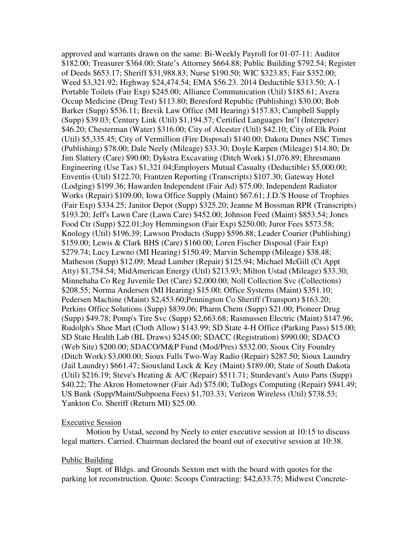approved and warrants drawn on the same: Bi-Weekly Payroll for 01-07-11: Auditor \$182.00; Treasurer \$364.00; State's Attorney \$664.88; Public Building \$792.54; Register of Deeds \$653.17; Sheriff \$31,988.83; Nurse \$190.50; WIC \$323.85; Fair \$352.00; Weed \$3,321.92; Highway \$24,474.54; EMA \$56.23. 2014 Deductible \$313.50; A-1 Portable Toilets (Fair Exp) \$245.00; Alliance Communication (Util) \$185.61; Avera Occup Medicine (Drug Test) \$113.80; Beresford Republic (Publishing) \$30.00; Bob Barker (Supp) \$536.11; Brevik Law Office (MI Hearing) \$157.83; Campbell Supply (Supp) \$39.03; Century Link (Util) \$1,194.57; Certified Languages Int'l (Interpeter) \$46.20; Chesterman (Water) \$316.00; City of Alcester (Util) \$42.10; City of Elk Point (Util) \$5,335.45; City of Vermillion (Fire Disposal) \$140.00; Dakota Dunes NSC Times (Publishing) \$78.00; Dale Neely (Mileage) \$33.30; Doyle Karpen (Mileage) \$14.80; Dr Jim Slattery (Care) \$90.00; Dykstra Excavating (Ditch Work) \$1,076.89; Ehresmann Engineering (Use Tax) \$1,321.04;Employers Mutual Casualty (Deductible) \$5,000.00; Enventis (Util) \$122.70; Frantzen Reporting (Transcripts) \$107.30; Gateway Hotel (Lodging) \$199.36; Hawarden Independent (Fair Ad) \$75.00; Independent Radiator Works (Repair) \$109.00; Iowa Office Supply (Maint) \$67.61; J.D.'S House of Trophies (Fair Exp) \$334.25; Janitor Depot (Supp) \$325.20; Jeanne M Bossman RPR (Transcripts) \$193.20; Jeff's Lawn Care (Lawn Care) \$452.00; Johnson Feed (Maint) \$853.54; Jones Food Ctr (Supp) \$22.01;Joy Hemmingson (Fair Exp) \$250.00; Juror Fees \$573.58; Knology (Util) \$196.39; Lawson Products (Supp) \$596.88; Leader Courier (Publishing) \$159.00; Lewis & Clark BHS (Care) \$160.00; Loren Fischer Disposal (Fair Exp) \$279.74; Lucy Lewno (MI Hearing) \$150.49; Marvin Schempp (Mileage) \$38.48; Matheson (Supp) \$12.09; Mead Lumber (Repair) \$125.94; Michael McGill (Ct Appt Atty) \$1,754.54; MidAmerican Energy (Util) \$213.93; Milton Ustad (Mileage) \$33.30; Minnehaha Co Reg Juvenile Det (Care) \$2,000.00; Noll Collection Svc (Collections) \$208.55; Norma Andersen (MI Hearing) \$15.00; Office Systems (Maint) \$351.10; Pedersen Machine (Maint) \$2,453.60; Pennington Co Sheriff (Transport) \$163.20; Perkins Office Solutions (Supp) \$839.06; Pharm Chem (Supp) \$21.00; Pioneer Drug (Supp) \$49.78; Pomp's Tire Svc (Supp) \$2,663.68; Rasmussen Electric (Maint) \$147.96; Rudolph's Shoe Mart (Cloth Allow) \$143.99; SD State 4-H Office (Parking Pass) \$15.00; SD State Health Lab (BL Draws) \$245.00; SDACC (Registration) \$990.00; SDACO (Web Site) \$200.00; SDACO/M&P Fund (Mod/Pres) \$532.00; Sioux City Foundry (Ditch Work) \$3,000.00; Sioux Falls Two-Way Radio (Repair) \$287.50; Sioux Laundry (Jail Laundry) \$661.47; Siouxland Lock & Key (Maint) \$189.00; State of South Dakota (Util) \$216.19; Steve's Heating & A/C (Repair) \$511.71; Sturdevant's Auto Parts (Supp) \$40.22; The Akron Hometowner (Fair Ad) \$75.00; TuDogs Computing (Repair) \$941.49; US Bank (Supp/Maint/Subpoena Fees) \$1,703.33; Verizon Wireless (Util) \$738.53; Yankton Co. Sheriff (Return MI) \$25.00.

#### Executive Session

 Motion by Ustad, second by Neely to enter executive session at 10:15 to discuss legal matters. Carried. Chairman declared the board out of executive session at 10:38.

#### Public Building

 Supt. of Bldgs. and Grounds Sexton met with the board with quotes for the parking lot reconstruction. Quote: Scoops Contracting: \$42,633.75; Midwest Concrete-